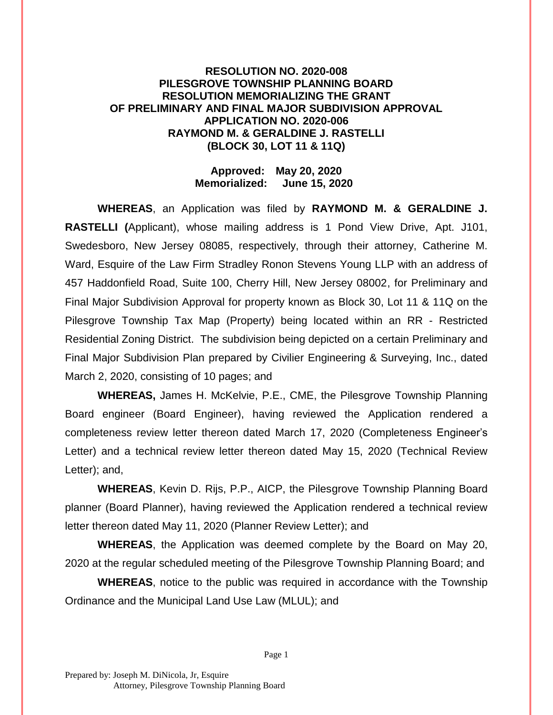## **RESOLUTION NO. 2020-008 PILESGROVE TOWNSHIP PLANNING BOARD RESOLUTION MEMORIALIZING THE GRANT OF PRELIMINARY AND FINAL MAJOR SUBDIVISION APPROVAL APPLICATION NO. 2020-006 RAYMOND M. & GERALDINE J. RASTELLI (BLOCK 30, LOT 11 & 11Q)**

## **Approved: May 20, 2020 Memorialized: June 15, 2020**

**WHEREAS**, an Application was filed by **RAYMOND M. & GERALDINE J. RASTELLI (**Applicant), whose mailing address is 1 Pond View Drive, Apt. J101, Swedesboro, New Jersey 08085, respectively, through their attorney, Catherine M. Ward, Esquire of the Law Firm Stradley Ronon Stevens Young LLP with an address of 457 Haddonfield Road, Suite 100, Cherry Hill, New Jersey 08002, for Preliminary and Final Major Subdivision Approval for property known as Block 30, Lot 11 & 11Q on the Pilesgrove Township Tax Map (Property) being located within an RR - Restricted Residential Zoning District. The subdivision being depicted on a certain Preliminary and Final Major Subdivision Plan prepared by Civilier Engineering & Surveying, Inc., dated March 2, 2020, consisting of 10 pages; and

**WHEREAS,** James H. McKelvie, P.E., CME, the Pilesgrove Township Planning Board engineer (Board Engineer), having reviewed the Application rendered a completeness review letter thereon dated March 17, 2020 (Completeness Engineer's Letter) and a technical review letter thereon dated May 15, 2020 (Technical Review Letter); and,

**WHEREAS**, Kevin D. Rijs, P.P., AICP, the Pilesgrove Township Planning Board planner (Board Planner), having reviewed the Application rendered a technical review letter thereon dated May 11, 2020 (Planner Review Letter); and

**WHEREAS**, the Application was deemed complete by the Board on May 20, 2020 at the regular scheduled meeting of the Pilesgrove Township Planning Board; and

**WHEREAS**, notice to the public was required in accordance with the Township Ordinance and the Municipal Land Use Law (MLUL); and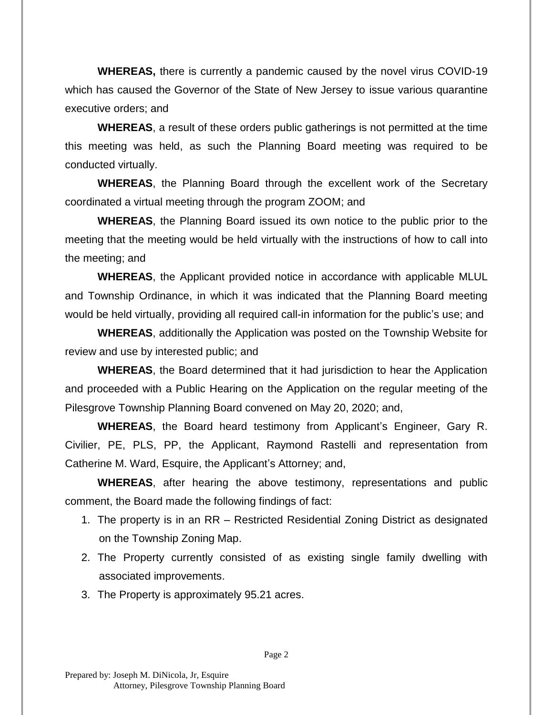**WHEREAS,** there is currently a pandemic caused by the novel virus COVID-19 which has caused the Governor of the State of New Jersey to issue various quarantine executive orders; and

**WHEREAS**, a result of these orders public gatherings is not permitted at the time this meeting was held, as such the Planning Board meeting was required to be conducted virtually.

**WHEREAS**, the Planning Board through the excellent work of the Secretary coordinated a virtual meeting through the program ZOOM; and

**WHEREAS**, the Planning Board issued its own notice to the public prior to the meeting that the meeting would be held virtually with the instructions of how to call into the meeting; and

**WHEREAS**, the Applicant provided notice in accordance with applicable MLUL and Township Ordinance, in which it was indicated that the Planning Board meeting would be held virtually, providing all required call-in information for the public's use; and

**WHEREAS**, additionally the Application was posted on the Township Website for review and use by interested public; and

**WHEREAS**, the Board determined that it had jurisdiction to hear the Application and proceeded with a Public Hearing on the Application on the regular meeting of the Pilesgrove Township Planning Board convened on May 20, 2020; and,

**WHEREAS**, the Board heard testimony from Applicant's Engineer, Gary R. Civilier, PE, PLS, PP, the Applicant, Raymond Rastelli and representation from Catherine M. Ward, Esquire, the Applicant's Attorney; and,

**WHEREAS**, after hearing the above testimony, representations and public comment, the Board made the following findings of fact:

- 1. The property is in an RR Restricted Residential Zoning District as designated on the Township Zoning Map.
- 2. The Property currently consisted of as existing single family dwelling with associated improvements.
- 3. The Property is approximately 95.21 acres.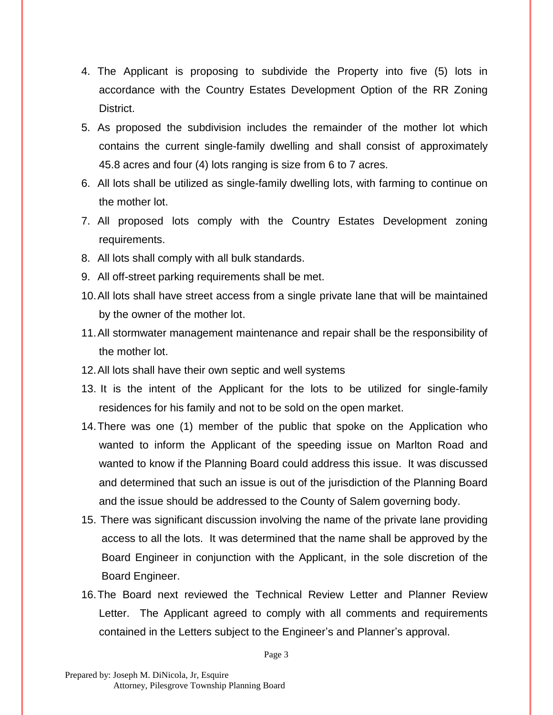- 4. The Applicant is proposing to subdivide the Property into five (5) lots in accordance with the Country Estates Development Option of the RR Zoning District.
- 5. As proposed the subdivision includes the remainder of the mother lot which contains the current single-family dwelling and shall consist of approximately 45.8 acres and four (4) lots ranging is size from 6 to 7 acres.
- 6. All lots shall be utilized as single-family dwelling lots, with farming to continue on the mother lot.
- 7. All proposed lots comply with the Country Estates Development zoning requirements.
- 8. All lots shall comply with all bulk standards.
- 9. All off-street parking requirements shall be met.
- 10.All lots shall have street access from a single private lane that will be maintained by the owner of the mother lot.
- 11.All stormwater management maintenance and repair shall be the responsibility of the mother lot.
- 12.All lots shall have their own septic and well systems
- 13. It is the intent of the Applicant for the lots to be utilized for single-family residences for his family and not to be sold on the open market.
- 14.There was one (1) member of the public that spoke on the Application who wanted to inform the Applicant of the speeding issue on Marlton Road and wanted to know if the Planning Board could address this issue. It was discussed and determined that such an issue is out of the jurisdiction of the Planning Board and the issue should be addressed to the County of Salem governing body.
- 15. There was significant discussion involving the name of the private lane providing access to all the lots. It was determined that the name shall be approved by the Board Engineer in conjunction with the Applicant, in the sole discretion of the Board Engineer.
- 16.The Board next reviewed the Technical Review Letter and Planner Review Letter. The Applicant agreed to comply with all comments and requirements contained in the Letters subject to the Engineer's and Planner's approval.

Page 3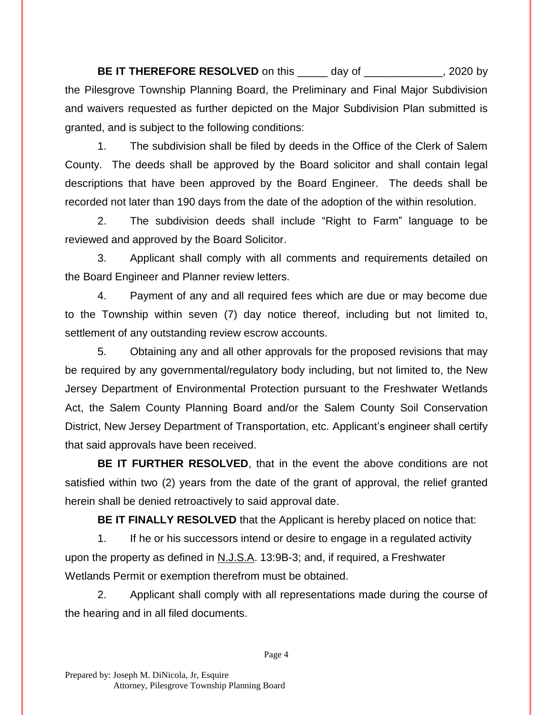**BE IT THEREFORE RESOLVED** on this day of the same of the same of the same of the same of the same of the same of the same of the same of the same of the same of the same of the same of the same of the same of the same of the Pilesgrove Township Planning Board, the Preliminary and Final Major Subdivision and waivers requested as further depicted on the Major Subdivision Plan submitted is granted, and is subject to the following conditions:

1. The subdivision shall be filed by deeds in the Office of the Clerk of Salem County. The deeds shall be approved by the Board solicitor and shall contain legal descriptions that have been approved by the Board Engineer. The deeds shall be recorded not later than 190 days from the date of the adoption of the within resolution.

2. The subdivision deeds shall include "Right to Farm" language to be reviewed and approved by the Board Solicitor.

3. Applicant shall comply with all comments and requirements detailed on the Board Engineer and Planner review letters.

4. Payment of any and all required fees which are due or may become due to the Township within seven (7) day notice thereof, including but not limited to, settlement of any outstanding review escrow accounts.

5. Obtaining any and all other approvals for the proposed revisions that may be required by any governmental/regulatory body including, but not limited to, the New Jersey Department of Environmental Protection pursuant to the Freshwater Wetlands Act, the Salem County Planning Board and/or the Salem County Soil Conservation District, New Jersey Department of Transportation, etc. Applicant's engineer shall certify that said approvals have been received.

**BE IT FURTHER RESOLVED**, that in the event the above conditions are not satisfied within two (2) years from the date of the grant of approval, the relief granted herein shall be denied retroactively to said approval date.

**BE IT FINALLY RESOLVED** that the Applicant is hereby placed on notice that:

1. If he or his successors intend or desire to engage in a regulated activity upon the property as defined in N.J.S.A. 13:9B-3; and, if required, a Freshwater Wetlands Permit or exemption therefrom must be obtained.

2. Applicant shall comply with all representations made during the course of the hearing and in all filed documents.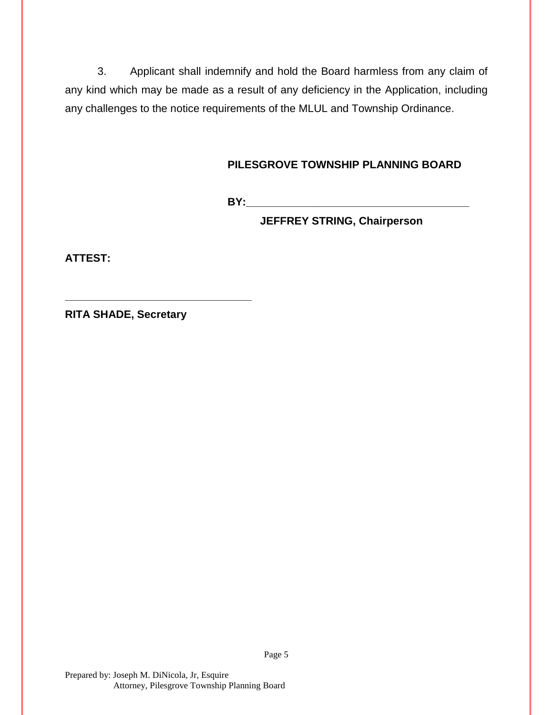3. Applicant shall indemnify and hold the Board harmless from any claim of any kind which may be made as a result of any deficiency in the Application, including any challenges to the notice requirements of the MLUL and Township Ordinance.

## **PILESGROVE TOWNSHIP PLANNING BOARD**

**BY:\_\_\_\_\_\_\_\_\_\_\_\_\_\_\_\_\_\_\_\_\_\_\_\_\_\_\_\_\_\_\_\_\_\_\_\_\_**

**JEFFREY STRING, Chairperson**

**ATTEST:**

**RITA SHADE, Secretary**

**\_\_\_\_\_\_\_\_\_\_\_\_\_\_\_\_\_\_\_\_\_\_\_\_\_\_\_\_\_\_\_**